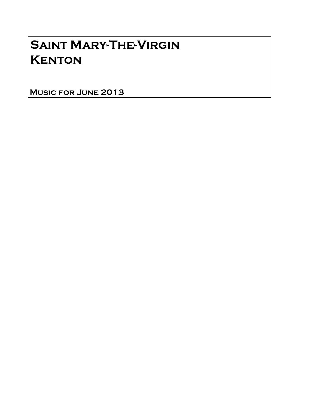# Saint Mary-The-Virgin **KENTON**

Music for June 2013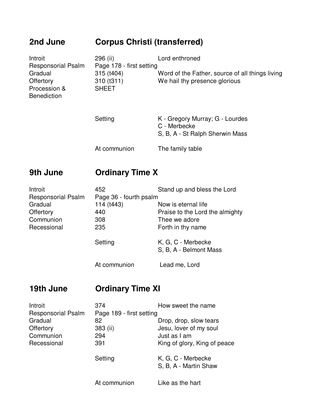## **2nd June Corpus Christi (transferred)**

| Introit<br><b>Responsorial Psalm</b><br>Gradual<br>Offertory<br>Procession &<br><b>Benediction</b> | 296 (ii)<br>Page 178 - first setting<br>315 (t404)<br>310 (t311)<br><b>SHEET</b> | Lord enthroned<br>Word of the Father, source of all things living<br>We hail thy presence glorious                    |
|----------------------------------------------------------------------------------------------------|----------------------------------------------------------------------------------|-----------------------------------------------------------------------------------------------------------------------|
|                                                                                                    | Setting                                                                          | K - Gregory Murray; G - Lourdes<br>C - Merbecke<br>S, B, A - St Ralph Sherwin Mass                                    |
|                                                                                                    | At communion                                                                     | The family table                                                                                                      |
| 9th June                                                                                           | <b>Ordinary Time X</b>                                                           |                                                                                                                       |
| Introit<br><b>Responsorial Psalm</b><br>Gradual<br>$\sim$ $\sim$ $\sim$                            | 452<br>Page 36 - fourth psalm<br>114 (t443)<br>$\overline{1}$                    | Stand up and bless the Lord<br>Now is eternal life<br>the contract the contract of the contract contract of the trans |

| urauuar     | 114 (1440)   | <b>NOW IS ELEMIAL THE</b>       |
|-------------|--------------|---------------------------------|
| Offertory   | 440          | Praise to the Lord the almighty |
| Communion   | 308          | Thee we adore                   |
| Recessional | 235          | Forth in thy name               |
|             | Setting      | K, G, C - Merbecke              |
|             |              | S, B, A - Belmont Mass          |
|             | At communion | Lead me, Lord                   |

## **19th June Ordinary Time XI**

| Introit                   | 374                      | How sweet the name                          |  |
|---------------------------|--------------------------|---------------------------------------------|--|
| <b>Responsorial Psalm</b> | Page 189 - first setting |                                             |  |
| Gradual                   | 82                       | Drop, drop, slow tears                      |  |
| Offertory                 | 383 (ii)                 | Jesu, lover of my soul                      |  |
| Communion                 | 294                      | Just as I am                                |  |
| Recessional               | 391                      | King of glory, King of peace                |  |
|                           | Setting                  | K, G, C - Merbecke<br>S, B, A - Martin Shaw |  |
|                           | At communion             | Like as the hart                            |  |